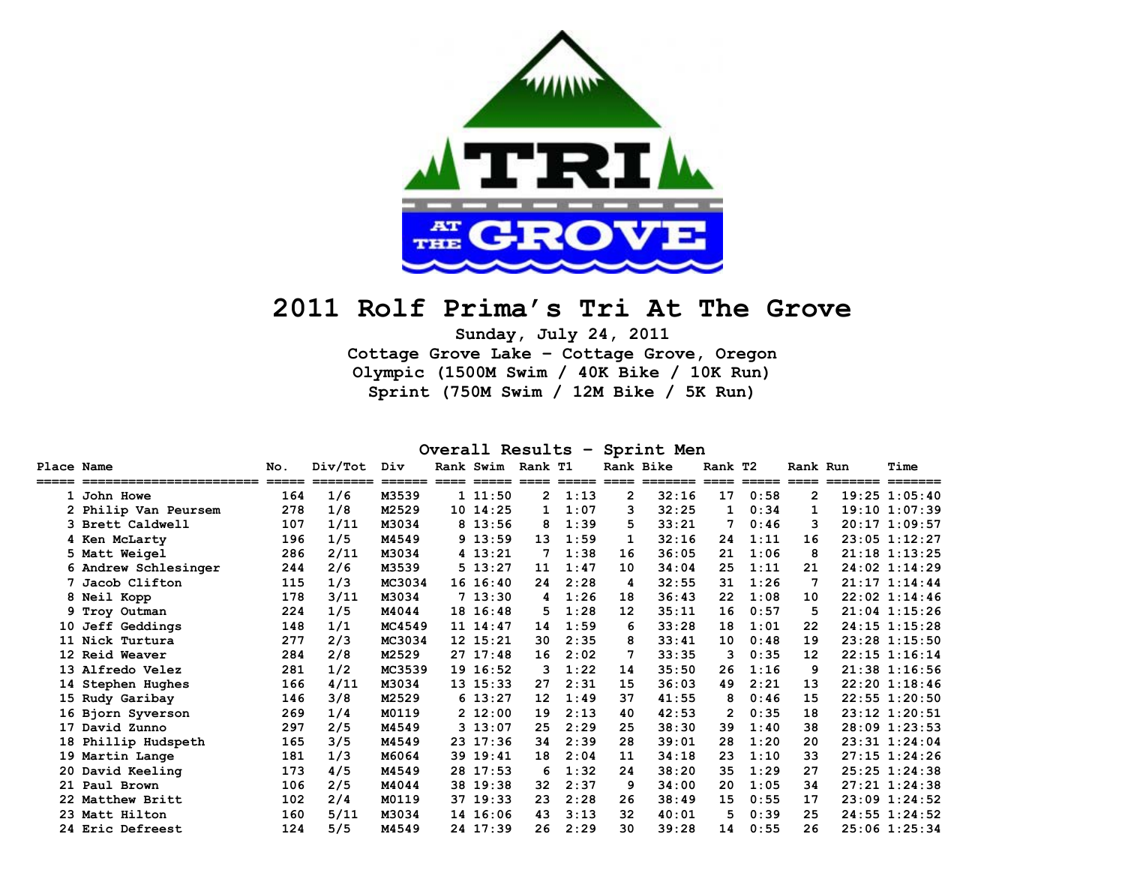

# **2011 Rolf Prima's Tri At The Grove**

**Sunday, July 24, 2011 Cottage Grove Lake – Cottage Grove, Oregon Olympic (1500M Swim / 40K Bike / 10K Run) Sprint (750M Swim / 12M Bike / 5K Run)** 

**Overall Results – Sprint Men**

| Place Name |                                        | No.            | Div/Tot         | Div               | Rank Swim                      | Rank T1      |      |              | Rank Bike             | Rank T2      |                                                                             | Rank Run                 |                  | Time               |
|------------|----------------------------------------|----------------|-----------------|-------------------|--------------------------------|--------------|------|--------------|-----------------------|--------------|-----------------------------------------------------------------------------|--------------------------|------------------|--------------------|
|            | =======================<br>1 John Howe | $=====$<br>164 | ========<br>1/6 | $======$<br>M3539 | ==== ===== ==== =====<br>11:50 | $\mathbf{2}$ | 1:13 | $\mathbf{2}$ | ==== =======<br>32:16 | 17           | $\begin{tabular}{ll} \bf - = = & \bf - = = = & \bf - \end{tabular}$<br>0:58 | $====$<br>$\overline{2}$ | ======== ======= | 19:25 1:05:40      |
|            | 2 Philip Van Peursem                   | 278            | 1/8             | M2529             | 10 14:25                       | $\mathbf{1}$ | 1:07 | 3            | 32:25                 | 1            | 0:34                                                                        | 1                        |                  | $19:10$ $1:07:39$  |
|            | 3 Brett Caldwell                       | 107            | 1/11            | M3034             | 8 13:56                        | 8            | 1:39 | 5            | 33:21                 | 7            | 0:46                                                                        | 3                        |                  | $20:17$ 1:09:57    |
|            | 4 Ken McLarty                          | 196            | 1/5             | M4549             | 9 13:59                        | 13           | 1:59 | 1            | 32:16                 | 24           | 1:11                                                                        | 16                       |                  | 23:05 1:12:27      |
|            | 5 Matt Weigel                          | 286            | 2/11            | M3034             | 4 13:21                        |              | 1:38 | 16           | 36:05                 | 21           | 1:06                                                                        | 8                        |                  | $21:18$ $1:13:25$  |
|            | 6 Andrew Schlesinger                   | 244            | 2/6             | M3539             | 5 13:27                        | 11           | 1:47 | 10           | 34:04                 | 25           | 1:11                                                                        | 21                       |                  | 24:02 1:14:29      |
|            | 7 Jacob Clifton                        | 115            | 1/3             | MC3034            | 16 16:40                       | 24           | 2:28 | 4            | 32:55                 | 31           | 1:26                                                                        | 7                        |                  | $21:17$ $1:14:44$  |
|            | 8 Neil Kopp                            | 178            | 3/11            | M3034             | 713:30                         | 4            | 1:26 | 18           | 36:43                 | 22           | 1:08                                                                        | 10                       |                  | $22:02 \; 1:14:46$ |
|            | 9 Troy Outman                          | 224            | 1/5             | M4044             | 18 16:48                       | 5            | 1:28 | 12           | 35:11                 | 16           | 0:57                                                                        | 5                        |                  | $21:04$ $1:15:26$  |
|            | 10 Jeff Geddings                       | 148            | 1/1             | MC4549            | 11 14:47                       | 14           | 1:59 | 6            | 33:28                 | 18           | 1:01                                                                        | 22                       |                  | 24:15 1:15:28      |
|            | 11 Nick Turtura                        | 277            | 2/3             | MC3034            | 12 15:21                       | 30           | 2:35 | 8            | 33:41                 | 10           | 0:48                                                                        | 19                       |                  | 23:28 1:15:50      |
|            | 12 Reid Weaver                         | 284            | 2/8             | M2529             | 2717:48                        | 16           | 2:02 |              | 33:35                 | 3            | 0:35                                                                        | 12                       |                  | $22:15$ $1:16:14$  |
|            | 13 Alfredo Velez                       | 281            | 1/2             | MC3539            | 19 16:52                       | 3            | 1:22 | 14           | 35:50                 | 26           | 1:16                                                                        | 9                        |                  | 21:38 1:16:56      |
|            | 14 Stephen Hughes                      | 166            | 4/11            | M3034             | 13 15:33                       | 27           | 2:31 | 15           | 36:03                 | 49           | 2:21                                                                        | 13                       |                  | $22:20$ 1:18:46    |
|            | 15 Rudy Garibay                        | 146            | 3/8             | M2529             | 613:27                         | 12           | 1:49 | 37           | 41:55                 | 8            | 0:46                                                                        | 15                       |                  | $22:55$ $1:20:50$  |
|            | 16 Bjorn Syverson                      | 269            | 1/4             | M0119             | 2 12:00                        | 19           | 2:13 | 40           | 42:53                 | $\mathbf{2}$ | 0:35                                                                        | 18                       |                  | 23:12 1:20:51      |
|            | 17 David Zunno                         | 297            | 2/5             | M4549             | 313:07                         | 25           | 2:29 | 25           | 38:30                 | 39           | 1:40                                                                        | 38                       |                  | 28:09 1:23:53      |
|            | 18 Phillip Hudspeth                    | 165            | 3/5             | M4549             | 23 17:36                       | 34           | 2:39 | 28           | 39:01                 | 28           | 1:20                                                                        | 20                       |                  | 23:31 1:24:04      |
|            | 19 Martin Lange                        | 181            | 1/3             | M6064             | 39 19:41                       | 18           | 2:04 | 11           | 34:18                 | 23           | 1:10                                                                        | 33                       |                  | 27:15 1:24:26      |
|            | 20 David Keeling                       | 173            | 4/5             | M4549             | 28 17:53                       | 6            | 1:32 | 24           | 38:20                 | 35           | 1:29                                                                        | 27                       |                  | 25:25 1:24:38      |
|            | 21 Paul Brown                          | 106            | 2/5             | M4044             | 38 19:38                       | 32           | 2:37 | 9            | 34:00                 | 20           | 1:05                                                                        | 34                       |                  | $27:21$ $1:24:38$  |
|            | 22 Matthew Britt                       | 102            | 2/4             | M0119             | 37 19:33                       | 23           | 2:28 | 26           | 38:49                 | 15           | 0:55                                                                        | 17                       |                  | 23:09 1:24:52      |
|            | 23 Matt Hilton                         | 160            | 5/11            | M3034             | 14 16:06                       | 43           | 3:13 | 32           | 40:01                 | 5            | 0:39                                                                        | 25                       |                  | 24:55 1:24:52      |
|            | 24 Eric Defreest                       | 124            | 5/5             | M4549             | 24 17:39                       | 26           | 2:29 | 30           | 39:28                 | 14           | 0:55                                                                        | 26                       |                  | $25:06$ 1:25:34    |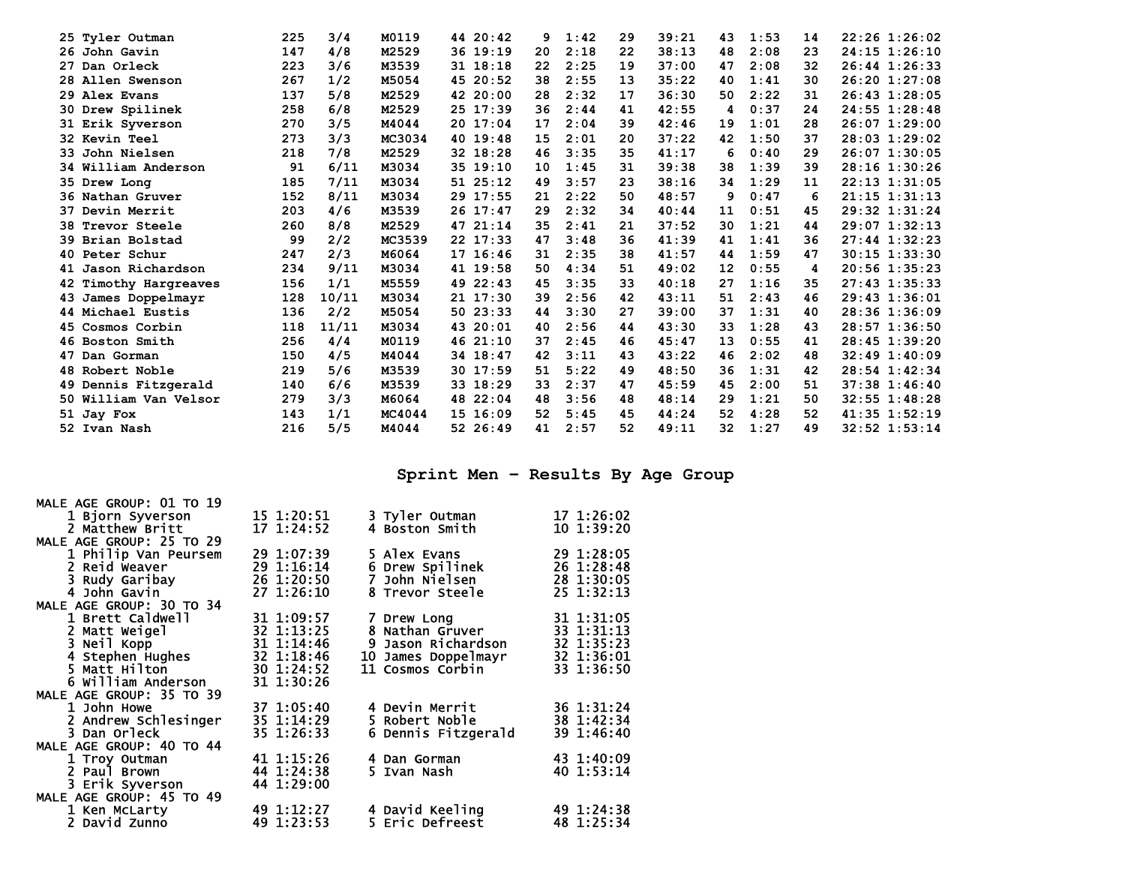| 25<br>Tyler Outman   | 225                          |    | 3/4   | M0119  | 44 20:42 | 9  | 1:42 | 29 | 39:21 | 43 | 1:53 | 14 | 22:26 1:26:02     |
|----------------------|------------------------------|----|-------|--------|----------|----|------|----|-------|----|------|----|-------------------|
| 26 John Gavin        | 147                          |    | 4/8   | M2529  | 36 19:19 | 20 | 2:18 | 22 | 38:13 | 48 | 2:08 | 23 | 24:15 1:26:10     |
| 27 Dan Orleck        | 223                          |    | 3/6   | M3539  | 31 18:18 | 22 | 2:25 | 19 | 37:00 | 47 | 2:08 | 32 | 26:44 1:26:33     |
| 28 Allen Swenson     | 267                          |    | 1/2   | M5054  | 45 20:52 | 38 | 2:55 | 13 | 35:22 | 40 | 1:41 | 30 | 26:20 1:27:08     |
| 29 Alex Evans        | 137                          |    | 5/8   | M2529  | 42 20:00 | 28 | 2:32 | 17 | 36:30 | 50 | 2:22 | 31 | $26:43$ 1:28:05   |
| 30 Drew Spilinek     | 258                          |    | 6/8   | M2529  | 25 17:39 | 36 | 2:44 | 41 | 42:55 | 4  | 0:37 | 24 | 24:55 1:28:48     |
| 31 Erik Syverson     | 270                          |    | 3/5   | M4044  | 20 17:04 | 17 | 2:04 | 39 | 42:46 | 19 | 1:01 | 28 | $26:07$ 1:29:00   |
| <b>32 Kevin Teel</b> | 273                          |    | 3/3   | MC3034 | 40 19:48 | 15 | 2:01 | 20 | 37:22 | 42 | 1:50 | 37 | $28:03$ 1:29:02   |
| 33 John Nielsen      | 218                          |    | 7/8   | M2529  | 32 18:28 | 46 | 3:35 | 35 | 41:17 | 6  | 0:40 | 29 | 26:07 1:30:05     |
|                      | 34 William Anderson          | 91 | 6/11  | M3034  | 35 19:10 | 10 | 1:45 | 31 | 39:38 | 38 | 1:39 | 39 | 28:16 1:30:26     |
| 35 Drew Long         | 185                          |    | 7/11  | M3034  | 51 25:12 | 49 | 3:57 | 23 | 38:16 | 34 | 1:29 | 11 | $22:13$ $1:31:05$ |
| 36 Nathan Gruver     | 152                          |    | 8/11  | M3034  | 29 17:55 | 21 | 2:22 | 50 | 48:57 | 9  | 0:47 | 6  | $21:15$ $1:31:13$ |
| 37 Devin Merrit      | 203                          |    | 4/6   | M3539  | 26 17:47 | 29 | 2:32 | 34 | 40:44 | 11 | 0:51 | 45 | 29:32 1:31:24     |
| 38 Trevor Steele     | 260                          |    | 8/8   | M2529  | 47 21:14 | 35 | 2:41 | 21 | 37:52 | 30 | 1:21 | 44 | 29:07 1:32:13     |
| 39 Brian Bolstad     |                              | 99 | 2/2   | MC3539 | 22 17:33 | 47 | 3:48 | 36 | 41:39 | 41 | 1:41 | 36 | $27:44$ 1:32:23   |
| 40 Peter Schur       | 247                          |    | 2/3   | M6064  | 17 16:46 | 31 | 2:35 | 38 | 41:57 | 44 | 1:59 | 47 | $30:15$ 1:33:30   |
|                      | 234<br>41 Jason Richardson   |    | 9/11  | M3034  | 41 19:58 | 50 | 4:34 | 51 | 49:02 | 12 | 0:55 | 4  | 20:56 1:35:23     |
|                      | 156<br>42 Timothy Hargreaves |    | 1/1   | M5559  | 49 22:43 | 45 | 3:35 | 33 | 40:18 | 27 | 1:16 | 35 | $27:43$ 1:35:33   |
|                      | 128<br>43 James Doppelmayr   |    | 10/11 | M3034  | 21 17:30 | 39 | 2:56 | 42 | 43:11 | 51 | 2:43 | 46 | 29:43 1:36:01     |
| 44 Michael Eustis    | 136                          |    | 2/2   | M5054  | 50 23:33 | 44 | 3:30 | 27 | 39:00 | 37 | 1:31 | 40 | 28:36 1:36:09     |
| 45 Cosmos Corbin     | 118                          |    | 11/11 | M3034  | 43 20:01 | 40 | 2:56 | 44 | 43:30 | 33 | 1:28 | 43 | 28:57 1:36:50     |
| 46 Boston Smith      | 256                          |    | 4/4   | M0119  | 46 21:10 | 37 | 2:45 | 46 | 45:47 | 13 | 0:55 | 41 | 28:45 1:39:20     |
| 47 Dan Gorman        | 150                          |    | 4/5   | M4044  | 34 18:47 | 42 | 3:11 | 43 | 43:22 | 46 | 2:02 | 48 | $32:49$ 1:40:09   |
| 48 Robert Noble      | 219                          |    | 5/6   | M3539  | 30 17:59 | 51 | 5:22 | 49 | 48:50 | 36 | 1:31 | 42 | 28:54 1:42:34     |
|                      | 140<br>49 Dennis Fitzgerald  |    | 6/6   | M3539  | 33 18:29 | 33 | 2:37 | 47 | 45:59 | 45 | 2:00 | 51 | 37:38 1:46:40     |
|                      | 279<br>50 William Van Velsor |    | 3/3   | M6064  | 48 22:04 | 48 | 3:56 | 48 | 48:14 | 29 | 1:21 | 50 | 32:55 1:48:28     |
| 51 Jay Fox           | 143                          |    | 1/1   | MC4044 | 15 16:09 | 52 | 5:45 | 45 | 44:24 | 52 | 4:28 | 52 | $41:35$ $1:52:19$ |
| 52 Ivan Nash         | 216                          |    | 5/5   | M4044  | 52 26:49 | 41 | 2:57 | 52 | 49:11 | 32 | 1:27 | 49 | $32:52$ $1:53:14$ |
|                      |                              |    |       |        |          |    |      |    |       |    |      |    |                   |

**Sprint Men – Results By Age Group** 

| MALE AGE GROUP: 01 TO 19 |            |                     |                |
|--------------------------|------------|---------------------|----------------|
| 1 Bjorn Syverson         | 15 1:20:51 | 3 Tyler Outman      | 17 1:26:02     |
| 2 Matthew Britt          | 17 1:24:52 | 4 Boston Smith      | $10 \t1:39:20$ |
| MALE AGE GROUP: 25 TO 29 |            |                     |                |
| 1 Philip Van Peursem     | 29 1:07:39 | 5 Alex Evans        | 29 1:28:05     |
| 2 Reid Weaver            | 29 1:16:14 | 6 Drew Spilinek     | 26 1:28:48     |
| 3 Rudy Garibay           | 26 1:20:50 | 7 John Nielsen      | 28 1:30:05     |
| 4 John Gavin             | 27 1:26:10 | 8 Trevor Steele     | 25 1:32:13     |
| MALE AGE GROUP: 30 TO 34 |            |                     |                |
| 1 Brett Caldwell         | 31 1:09:57 | 7 Drew Long         | 31 1:31:05     |
| 2 Matt Weigel            | 32 1:13:25 | 8 Nathan Gruver     | 33 1:31:13     |
| 3 Neil Kopp              | 31 1:14:46 | 9 Jason Richardson  | 32 1:35:23     |
| 4 Stephen Hughes         | 32 1:18:46 | 10 James Doppelmayr | 32 1:36:01     |
| 5 Matt Hilton            | 30 1:24:52 | 11 Cosmos Corbin    | 33 1:36:50     |
| 6 William Anderson       | 31 1:30:26 |                     |                |
| MALE AGE GROUP: 35 TO 39 |            |                     |                |
| 1 John Howe              | 37 1:05:40 | 4 Devin Merrit      | 36 1:31:24     |
| 2 Andrew Schlesinger     | 35 1:14:29 | 5 Robert Noble      | 38 1:42:34     |
| 3 Dan Orleck             | 35 1:26:33 | 6 Dennis Fitzgerald | 39 1:46:40     |
| MALE AGE GROUP: 40 TO 44 |            |                     |                |
| 1 Troy Outman            | 41 1:15:26 | 4 Dan Gorman        | 43 1:40:09     |
| 2 Paul Brown             | 44 1:24:38 | 5 Ivan Nash         | 40 1:53:14     |
| 3 Erik Syverson          | 44 1:29:00 |                     |                |
| MALE AGE GROUP: 45 TO 49 |            |                     |                |
| 1 Ken McLarty            | 49 1:12:27 | 4 David Keeling     | 49 1:24:38     |
| 2 David Zunno            | 49 1:23:53 | 5 Eric Defreest     | 48 1:25:34     |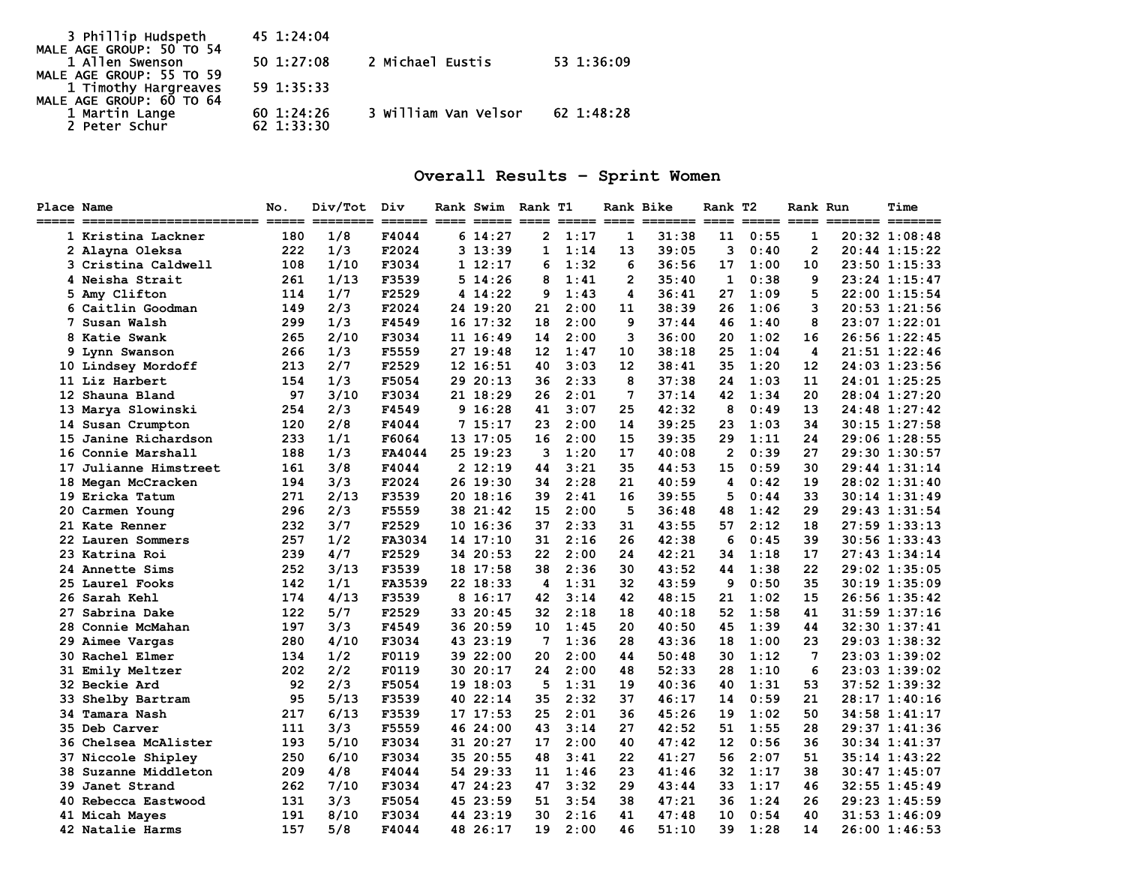| 3 Phillip Hudspeth                               | 45 1:24:04 |                      |            |
|--------------------------------------------------|------------|----------------------|------------|
| MALE AGE GROUP: 50 TO 54                         |            |                      |            |
| 1 Allen Swenson                                  | 50 1:27:08 | 2 Michael Eustis     | 53 1:36:09 |
| MALE AGE GROUP: 55 TO 59                         |            |                      |            |
| 1 Timothy Hargreaves<br>MALE AGE GROUP: 60 TO 64 | 59 1:35:33 |                      |            |
|                                                  |            |                      |            |
| 1 Martin Lange                                   | 601:24:26  | 3 William Van Velsor | 62 1:48:28 |
| 2 Peter Schur                                    | 62 1:33:30 |                      |            |

# **Overall Results – Sprint Women**

| <b>Place Name</b><br>_____ |                             | No. | Div/Tot | Div    | Rank Swim Rank T1 |                |      | Rank Bike    | ENERE ERER ERKENEN ERER ERER BERK | Rank T2        |      | Rank Run        | ======= ======= | Time          |
|----------------------------|-----------------------------|-----|---------|--------|-------------------|----------------|------|--------------|-----------------------------------|----------------|------|-----------------|-----------------|---------------|
|                            | 1 Kristina Lackner          | 180 | 1/8     | F4044  | 614:27            | $\overline{2}$ | 1:17 | 1            | 31:38                             | 11             | 0:55 | $\mathbf{1}$    |                 | 20:32 1:08:48 |
|                            | 2 Alayna Oleksa             | 222 | 1/3     | F2024  | 313:39            | 1              | 1:14 | 13           | 39:05                             | 3              | 0:40 | $\overline{2}$  |                 | 20:44 1:15:22 |
|                            | 3 Cristina Caldwell         | 108 | 1/10    | F3034  | 1 12:17           | 6              | 1:32 | 6            | 36:56                             | 17             | 1:00 | 10              |                 | 23:50 1:15:33 |
|                            | 4 Neisha Strait             | 261 | 1/13    | F3539  | $5\;14:26$        | 8              | 1:41 | $\mathbf{2}$ | 35:40                             | 1              | 0:38 | 9               |                 | 23:24 1:15:47 |
|                            | 5 Amy Clifton               | 114 | 1/7     | F2529  | 4 14:22           | 9              | 1:43 | 4            | 36:41                             | 27             | 1:09 | 5               |                 | 22:00 1:15:54 |
|                            | 6 Caitlin Goodman           | 149 | 2/3     | F2024  | 24 19:20          | 21             | 2:00 | 11           | 38:39                             | 26             | 1:06 | 3               |                 | 20:53 1:21:56 |
|                            | 7 Susan Walsh               | 299 | 1/3     | F4549  | 16 17:32          | 18             | 2:00 | 9            | 37:44                             | 46             | 1:40 | 8               |                 | 23:07 1:22:01 |
|                            | 8 Katie Swank               | 265 | 2/10    | F3034  | 11 16:49          | 14             | 2:00 | 3            | 36:00                             | 20             | 1:02 | 16              |                 | 26:56 1:22:45 |
|                            | 9 Lynn Swanson              | 266 | 1/3     | F5559  | 27 19:48          | 12             | 1:47 | 10           | 38:18                             | 25             | 1:04 | 4               |                 | 21:51 1:22:46 |
|                            | 10 Lindsey Mordoff          | 213 | 2/7     | F2529  | 12 16:51          | 40             | 3:03 | 12           | 38:41                             | 35             | 1:20 | 12              |                 | 24:03 1:23:56 |
|                            | 11 Liz Harbert              | 154 | 1/3     | F5054  | 29 20:13          | 36             | 2:33 | 8            | 37:38                             | 24             | 1:03 | 11              |                 | 24:01 1:25:25 |
|                            | 12 Shauna Bland             | 97  | 3/10    | F3034  | 21 18:29          | 26             | 2:01 | 7            | 37:14                             | 42             | 1:34 | 20              |                 | 28:04 1:27:20 |
|                            | 13 Marya Slowinski          | 254 | 2/3     | F4549  | 9 16:28           | 41             | 3:07 | 25           | 42:32                             | 8              | 0:49 | 13              |                 | 24:48 1:27:42 |
|                            | 14 Susan Crumpton           | 120 | 2/8     | F4044  | 7 15:17           | 23             | 2:00 | 14           | 39:25                             | 23             | 1:03 | 34              |                 | 30:15 1:27:58 |
|                            | 15 Janine Richardson        | 233 | 1/1     | F6064  | 13 17:05          | 16             | 2:00 | 15           | 39:35                             | 29             | 1:11 | 24              |                 | 29:06 1:28:55 |
|                            | 16 Connie Marshall          | 188 | 1/3     | FA4044 | 25 19:23          | 3              | 1:20 | 17           | 40:08                             | $\overline{2}$ | 0:39 | 27              |                 | 29:30 1:30:57 |
|                            | 17 Julianne Himstreet       | 161 | 3/8     | F4044  | 2 12:19           | 44             | 3:21 | 35           | 44:53                             | 15             | 0:59 | 30              |                 | 29:44 1:31:14 |
|                            | 18 Megan McCracken          | 194 | 3/3     | F2024  | 26 19:30          | 34             | 2:28 | 21           | 40:59                             | 4              | 0:42 | 19              |                 | 28:02 1:31:40 |
|                            | 19 Ericka Tatum             | 271 | 2/13    | F3539  | 2018:16           | 39             | 2:41 | 16           | 39:55                             | 5              | 0:44 | 33              |                 | 30:14 1:31:49 |
|                            | 20 Carmen Young             | 296 | 2/3     | F5559  | 38 21:42          | 15             | 2:00 | 5            | 36:48                             | 48             | 1:42 | 29              |                 | 29:43 1:31:54 |
|                            | 21 Kate Renner              | 232 | 3/7     | F2529  | 10 16:36          | 37             | 2:33 | 31           | 43:55                             | 57             | 2:12 | 18              |                 | 27:59 1:33:13 |
|                            | 22 Lauren Sommers           | 257 | 1/2     | FA3034 | 14 17:10          | 31             | 2:16 | 26           | 42:38                             | 6              | 0:45 | 39              |                 | 30:56 1:33:43 |
|                            | 23 Katrina Roi              | 239 | 4/7     | F2529  | 34 20:53          | 22             | 2:00 | 24           | 42:21                             | 34             | 1:18 | 17              |                 | 27:43 1:34:14 |
|                            | 24 Annette Sims             | 252 | 3/13    | F3539  | 18 17:58          | 38             | 2:36 | 30           | 43:52                             | 44             | 1:38 | 22              |                 | 29:02 1:35:05 |
|                            | 25 Laurel Fooks             | 142 | 1/1     | FA3539 | 22 18:33          | 4              | 1:31 | 32           | 43:59                             | 9              | 0:50 | 35              |                 | 30:19 1:35:09 |
|                            | 26 Sarah Kehl               | 174 | 4/13    | F3539  | 8 16:17           | 42             | 3:14 | 42           | 48:15                             | 21             | 1:02 | 15              |                 | 26:56 1:35:42 |
|                            | 27 Sabrina Dake             | 122 | 5/7     | F2529  | 33 20:45          | 32             | 2:18 | 18           | 40:18                             | 52             | 1:58 | 41              |                 | 31:59 1:37:16 |
|                            | 28 Connie McMahan           | 197 | 3/3     | F4549  | 36 20:59          | 10             | 1:45 | 20           | 40:50                             | 45             | 1:39 | 44              |                 | 32:30 1:37:41 |
|                            | 29 Aimee Vargas             | 280 | 4/10    | F3034  | 43 23:19          | 7              | 1:36 | 28           | 43:36                             | 18             | 1:00 | 23              |                 | 29:03 1:38:32 |
|                            | <b>30 Rachel Elmer</b>      | 134 | 1/2     | F0119  | 39 22:00          | 20             | 2:00 | 44           | 50:48                             | 30             | 1:12 | $7\phantom{.0}$ |                 | 23:03 1:39:02 |
|                            | <b>31 Emily Meltzer</b>     | 202 | 2/2     | F0119  | 30 20:17          | 24             | 2:00 | 48           | 52:33                             | 28             | 1:10 | 6               |                 | 23:03 1:39:02 |
|                            | 32 Beckie Ard               | 92  | 2/3     | F5054  | 19 18:03          | 5              | 1:31 | 19           | 40:36                             | 40             | 1:31 | 53              |                 | 37:52 1:39:32 |
|                            | 33 Shelby Bartram           | 95  | 5/13    | F3539  | 40 22:14          | 35             | 2:32 | 37           | 46:17                             | 14             | 0:59 | 21              |                 | 28:17 1:40:16 |
|                            | 34 Tamara Nash              | 217 | 6/13    | F3539  | 17 17:53          | 25             | 2:01 | 36           | 45:26                             | 19             | 1:02 | 50              |                 | 34:58 1:41:17 |
|                            | <b>35 Deb Carver</b>        | 111 | 3/3     | F5559  | 46 24:00          | 43             | 3:14 | 27           | 42:52                             | 51             | 1:55 | 28              |                 | 29:37 1:41:36 |
| 36                         | Chelsea McAlister           | 193 | 5/10    | F3034  | 31 20:27          | 17             | 2:00 | 40           | 47:42                             | 12             | 0:56 | 36              |                 | 30:34 1:41:37 |
|                            | 37 Niccole Shipley          | 250 | 6/10    | F3034  | 35 20:55          | 48             | 3:41 | 22           | 41:27                             | 56             | 2:07 | 51              |                 | 35:14 1:43:22 |
|                            | <b>38 Suzanne Middleton</b> | 209 | 4/8     | F4044  | 54 29:33          | 11             | 1:46 | 23           | 41:46                             | 32             | 1:17 | 38              |                 | 30:47 1:45:07 |
|                            | 39 Janet Strand             | 262 | 7/10    | F3034  | 47 24:23          | 47             | 3:32 | 29           | 43:44                             | 33             | 1:17 | 46              |                 | 32:55 1:45:49 |
|                            | 40 Rebecca Eastwood         | 131 | 3/3     | F5054  | 45 23:59          | 51             | 3:54 | 38           | 47:21                             | 36             | 1:24 | 26              |                 | 29:23 1:45:59 |
|                            | 41 Micah Mayes              | 191 | 8/10    | F3034  | 44 23:19          | 30             | 2:16 | 41           | 47:48                             | 10             | 0:54 | 40              |                 | 31:53 1:46:09 |
|                            | 42 Natalie Harms            | 157 | 5/8     | F4044  | 48 26:17          | 19             | 2:00 | 46           | 51:10                             | 39             | 1:28 | 14              |                 | 26:00 1:46:53 |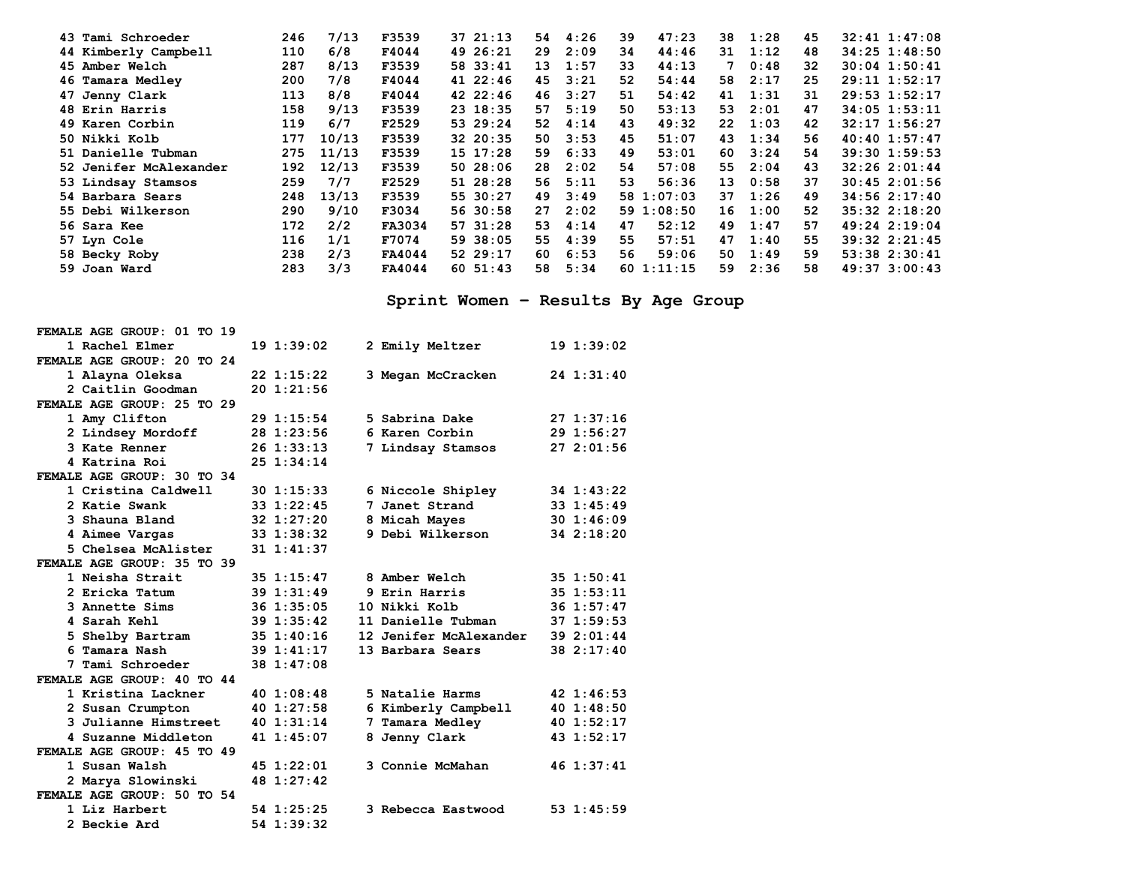| 43 Tami Schroeder      | 246 | 7/13  | F3539  | 37 21:13 | 54  | 4:26 | 39 | 47:23      | 38 | 1:28 | 45 | $32:41$ $1:47:08$ |
|------------------------|-----|-------|--------|----------|-----|------|----|------------|----|------|----|-------------------|
| 44 Kimberly Campbell   | 110 | 6/8   | F4044  | 49 26:21 | 29  | 2:09 | 34 | 44:46      | 31 | 1:12 | 48 | $34:25$ 1:48:50   |
| 45 Amber Welch         | 287 | 8/13  | F3539  | 58 33:41 | 13  | 1:57 | 33 | 44:13      | 7  | 0:48 | 32 | $30:04$ 1:50:41   |
| 46 Tamara Medley       | 200 | 7/8   | F4044  | 41 22:46 | 45  | 3:21 | 52 | 54:44      | 58 | 2:17 | 25 | $29:11$ $1:52:17$ |
| 47 Jenny Clark         | 113 | 8/8   | F4044  | 42 22:46 | 46  | 3:27 | 51 | 54:42      | 41 | 1:31 | 31 | $29:53$ 1:52:17   |
| 48 Erin Harris         | 158 | 9/13  | F3539  | 23 18:35 | 57  | 5:19 | 50 | 53:13      | 53 | 2:01 | 47 | $34:05$ 1:53:11   |
| 49 Karen Corbin        | 119 | 6/7   | F2529  | 53 29:24 | 52  | 4:14 | 43 | 49:32      | 22 | 1:03 | 42 | 32:17 1:56:27     |
| 50 Nikki Kolb          | 177 | 10/13 | F3539  | 32 20:35 | 50  | 3:53 | 45 | 51:07      | 43 | 1:34 | 56 | $40:40$ 1:57:47   |
| 51 Danielle Tubman     | 275 | 11/13 | F3539  | 15 17:28 | 59  | 6:33 | 49 | 53:01      | 60 | 3:24 | 54 | $39:30$ 1:59:53   |
| 52 Jenifer McAlexander | 192 | 12/13 | F3539  | 5028:06  | 28  | 2:02 | 54 | 57:08      | 55 | 2:04 | 43 | 32:262:01:44      |
| 53 Lindsay Stamsos     | 259 | 7/7   | F2529  | 51 28:28 | 56  | 5:11 | 53 | 56:36      | 13 | 0:58 | 37 | $30:45$ 2:01:56   |
| 54 Barbara Sears       | 248 | 13/13 | F3539  | 55 30:27 | 49  | 3:49 |    | 58 1:07:03 | 37 | 1:26 | 49 | $34:56$ $2:17:40$ |
| 55 Debi Wilkerson      | 290 | 9/10  | F3034  | 56 30:58 | 27  | 2:02 |    | 591:08:50  | 16 | 1:00 | 52 | $35:32$ $2:18:20$ |
| 56 Sara Kee            | 172 | 2/2   | FA3034 | 57 31:28 | 53. | 4:14 | 47 | 52:12      | 49 | 1:47 | 57 | 49:24 2:19:04     |
| 57 Lyn Cole            | 116 | 1/1   | F7074  | 59 38:05 | 55  | 4:39 | 55 | 57:51      | 47 | 1:40 | 55 | $39:32$ $2:21:45$ |
| 58 Becky Roby          | 238 | 2/3   | FA4044 | 52 29:17 | 60  | 6:53 | 56 | 59:06      | 50 | 1:49 | 59 | $53:38$ $2:30:41$ |
| 59 Joan Ward           | 283 | 3/3   | FA4044 | 60 51:43 | 58  | 5:34 |    | 601:11:15  | 59 | 2:36 | 58 | 49:37 3:00:43     |

# **Sprint Women – Results By Age Group**

| FEMALE AGE GROUP: 01 TO 19 |                 |                        |            |
|----------------------------|-----------------|------------------------|------------|
| 1 Rachel Elmer             | 191:39:02       | 2 Emily Meltzer        | 191:39:02  |
| FEMALE AGE GROUP: 20 TO 24 |                 |                        |            |
| 1 Alayna Oleksa            | $22 \; 1:15:22$ | 3 Megan McCracken      | 24 1:31:40 |
| 2 Caitlin Goodman          | 201:21:56       |                        |            |
| FEMALE AGE GROUP: 25 TO 29 |                 |                        |            |
| 1 Amy Clifton              | 29 1:15:54      | 5 Sabrina Dake         | 271:37:16  |
| 2 Lindsey Mordoff          | 28 1:23:56      | 6 Karen Corbin         | 29 1:56:27 |
| 3 Kate Renner              | $26$ 1:33:13    | 7 Lindsay Stamsos      | 272:01:56  |
| 4 Katrina Roi              | 25 1:34:14      |                        |            |
| FEMALE AGE GROUP: 30 TO 34 |                 |                        |            |
| 1 Cristina Caldwell        | $30 \t1:15:33$  | 6 Niccole Shipley      | 34 1:43:22 |
| 2 Katie Swank              | 33 1:22:45      | 7 Janet Strand         | 33 1:45:49 |
| 3 Shauna Bland             | 32 1:27:20      | 8 Micah Mayes          | 301:46:09  |
| 4 Aimee Vargas             | 33 1:38:32      | 9 Debi Wilkerson       | 34 2:18:20 |
| 5 Chelsea McAlister        | $31 \t1:41:37$  |                        |            |
| FEMALE AGE GROUP: 35 TO 39 |                 |                        |            |
| 1 Neisha Strait            | $35 \t1:15:47$  | 8 Amber Welch          | 35 1:50:41 |
| 2 Ericka Tatum             | 391:31:49       | 9 Erin Harris          | 35 1:53:11 |
| 3 Annette Sims             | $36$ 1:35:05    | 10 Nikki Kolb          | 36 1:57:47 |
| 4 Sarah Kehl               | 39 1:35:42      | 11 Danielle Tubman     | 37 1:59:53 |
| 5 Shelby Bartram           | 351:40:16       | 12 Jenifer McAlexander | 39 2:01:44 |
| 6 Tamara Nash              | 39 1:41:17      | 13 Barbara Sears       | 38 2:17:40 |
| 7 Tami Schroeder           | 38 1:47:08      |                        |            |
| FEMALE AGE GROUP: 40 TO 44 |                 |                        |            |
| 1 Kristina Lackner         | 401:08:48       | 5 Natalie Harms        | 42 1:46:53 |
| 2 Susan Crumpton           | 40 1:27:58      | 6 Kimberly Campbell    | 401:38:50  |
| 3 Julianne Himstreet       | 401:31:14       | 7 Tamara Medley        | 40 1:52:17 |
| 4 Suzanne Middleton        | 41 1:45:07      | 8 Jenny Clark          | 43 1:52:17 |
| FEMALE AGE GROUP: 45 TO 49 |                 |                        |            |
| 1 Susan Walsh              | 45 1:22:01      | 3 Connie McMahan       | 46 1:37:41 |
| 2 Marya Slowinski          | 48 1:27:42      |                        |            |
| FEMALE AGE GROUP: 50 TO 54 |                 |                        |            |
| 1 Liz Harbert              | 54 1:25:25      | 3 Rebecca Eastwood     | 53 1:45:59 |
| 2 Beckie Ard               | 54 1:39:32      |                        |            |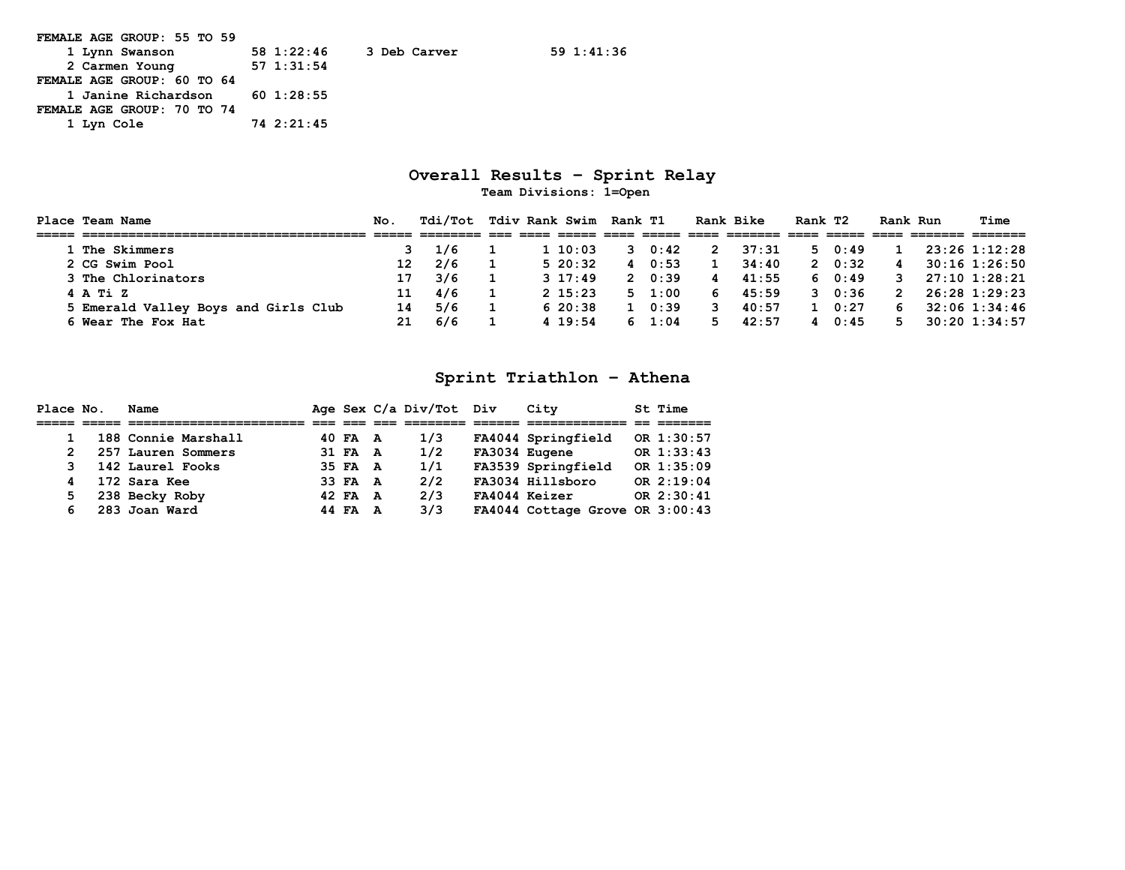| FEMALE AGE GROUP: 55 TO 59       |                            |
|----------------------------------|----------------------------|
| 1 Lynn Swanson                   | 58 1:22:46<br>3 Deb Carver |
| 2 Carmen Young                   | 57 1:31:54                 |
| FEMALE AGE GROUP: 60 TO 64       |                            |
| 1 Janine Richardson $60$ 1:28:55 |                            |
| FEMALE AGE GROUP: 70 TO 74       |                            |
| 1 Lyn Cole                       | 74 2:21:45                 |

#### **Overall Results – Sprint Relay Team Divisions: 1=Open**

**Place Team Name No. Tdi/Tot Tdiv Rank Swim Rank T1 Rank Bike Rank T2 Rank Run Time ===== ===================================== ===== ======== === ==== ===== ==== ===== ==== ======= ==== ===== ==== ======= ======= 1 The Skimmers 3 1/6 1 1 10:03 3 0:42 2 37:31 5 0:49 1 23:26 1:12:28 2 CG Swim Pool 12 2/6 1 5 20:32 4 0:53 1 34:40 2 0:32 4 30:16 1:26:50 3 The Chlorinators 17 3/6 1 3 17:49 2 0:39 4 41:55 6 0:49 3 27:10 1:28:21 4 A Ti Z 11 4/6 1 2 15:23 5 1:00 6 45:59 3 0:36 2 26:28 1:29:23 5 Emerald Valley Boys and Girls Club 14 5/6 1 6 20:38 1 0:39 3 40:57 1 0:27 6 32:06 1:34:46 6 Wear The Fox Hat 21 6/6 1 4 19:54 6 1:04 5 42:57 4 0:45 5 30:20 1:34:57** 

#### **Sprint Triathlon – Athena**

| Place No. | Name                |         |   | Age Sex C/a Div/Tot Div | City                            | St Time    |
|-----------|---------------------|---------|---|-------------------------|---------------------------------|------------|
|           |                     |         |   |                         |                                 |            |
|           | 188 Connie Marshall | 40 FA A |   | 1/3                     | FA4044 Springfield              | OR 1:30:57 |
|           | 257 Lauren Sommers  | 31 FA A |   | 1/2                     | FA3034 Eugene                   | OR 1:33:43 |
|           | 142 Laurel Fooks    | 35 FA A |   | 1/1                     | FA3539 Springfield              | OR 1:35:09 |
|           | 172 Sara Kee        | 33 FA A |   | 2/2                     | FA3034 Hillsboro                | OR 2:19:04 |
| 5.        | 238 Becky Roby      | 42 FA A |   | 2/3                     | FA4044 Keizer                   | OR 2:30:41 |
|           | 283 Joan Ward       | 44 FA   | A | 3/3                     | FA4044 Cottage Grove OR 3:00:43 |            |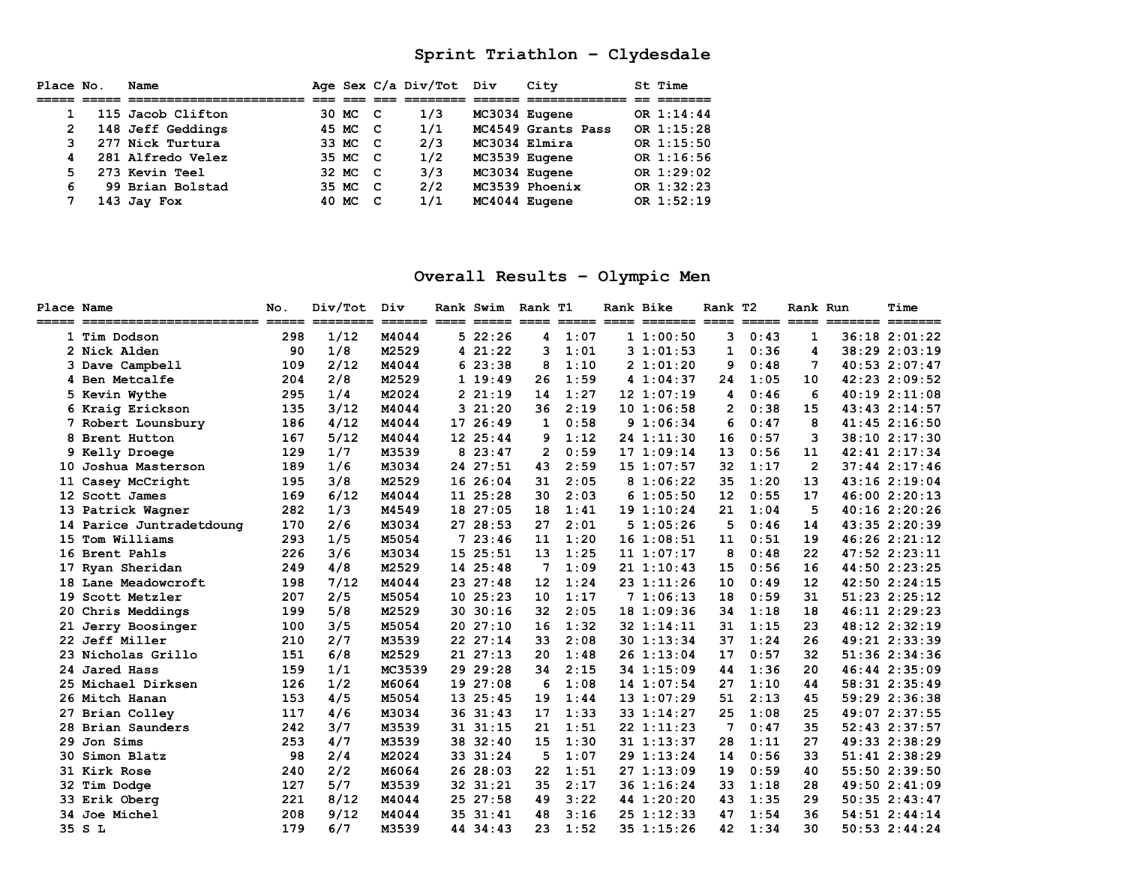### **Sprint Triathlon – Clydesdale**

| Place No.      | Name              |         |              | Age Sex C/a Div/Tot Div |               | City               | St Time      |
|----------------|-------------------|---------|--------------|-------------------------|---------------|--------------------|--------------|
|                |                   |         |              |                         |               |                    |              |
|                | 115 Jacob Clifton | 30 MC C |              | 1/3                     | MC3034 Eugene |                    | OR 1:14:44   |
| $\overline{2}$ | 148 Jeff Geddings | 45 MC   | - C          | 1/1                     |               | MC4549 Grants Pass | OR $1:15:28$ |
| 3.             | 277 Nick Turtura  | 33 MC   | $\mathbf{C}$ | 2/3                     | MC3034 Elmira |                    | OR 1:15:50   |
| 4              | 281 Alfredo Velez | 35 MC   | - C          | 1/2                     | MC3539 Eugene |                    | OR 1:16:56   |
| 5.             | 273 Kevin Teel    | 32 MC   | $\mathbf{C}$ | 3/3                     | MC3034 Eugene |                    | OR 1:29:02   |
| 6              | 99 Brian Bolstad  | 35 MC   | C.           | 2/2                     |               | MC3539 Phoenix     | OR 1:32:23   |
|                | 143 Jay Fox       | 40 MC   | C            | 1/1                     | MC4044 Eugene |                    | OR 1:52:19   |

### **Overall Results – Olympic Men**

| Place Name<br>===== |                          | No. | Div/Tot | Div    | Rank Swim Rank T1 |                |      | Rank Bike |                | Rank T <sub>2</sub> |      | Rank Run       | Time              |
|---------------------|--------------------------|-----|---------|--------|-------------------|----------------|------|-----------|----------------|---------------------|------|----------------|-------------------|
|                     | 1 Tim Dodson             | 298 | 1/12    | M4044  | 522:26            | 4              | 1:07 |           | 11:00:50       | 3                   | 0:43 | $\mathbf{1}$   | $36:18$ $2:01:22$ |
|                     | 2 Nick Alden             | 90  | 1/8     | M2529  | 4 21:22           | 3              | 1:01 |           | 31:01:53       | 1                   | 0:36 | 4              | 38:29 2:03:19     |
|                     | 3 Dave Campbell          | 109 | 2/12    | M4044  | 623:38            | 8              | 1:10 |           | 21:01:20       | 9                   | 0:48 | 7              | 40:53 2:07:47     |
|                     | 4 Ben Metcalfe           | 204 | 2/8     | M2529  | 119:49            | 26             | 1:59 |           | 41:04:37       | 24                  | 1:05 | 10             | 42:23 2:09:52     |
|                     | 5 Kevin Wythe            | 295 | 1/4     | M2024  | 221:19            | 14             | 1:27 |           | 121:07:19      | 4                   | 0:46 | 6              | 40:192:11:08      |
|                     | 6 Kraig Erickson         | 135 | 3/12    | M4044  | 321:20            | 36             | 2:19 |           | 10 1:06:58     | $\mathbf{2}$        | 0:38 | 15             | 43:43 2:14:57     |
|                     | 7 Robert Lounsbury       | 186 | 4/12    | M4044  | 17 26:49          | 1              | 0:58 |           | 91:06:34       | 6                   | 0:47 | 8              | 41:45 2:16:50     |
|                     | 8 Brent Hutton           | 167 | 5/12    | M4044  | 12 25:44          | 9              | 1:12 |           | 24 1:11:30     | 16                  | 0:57 | 3              | 38:10 2:17:30     |
|                     | 9 Kelly Droege           | 129 | 1/7     | M3539  | 823:47            | $\overline{2}$ | 0:59 |           | 171:09:14      | 13                  | 0:56 | 11             | 42:41 2:17:34     |
|                     | 10 Joshua Masterson      | 189 | 1/6     | M3034  | 24 27:51          | 43             | 2:59 |           | 15 1:07:57     | 32                  | 1:17 | $\overline{2}$ | $37:44$ $2:17:46$ |
|                     | 11 Casey McCright        | 195 | 3/8     | M2529  | 16 26:04          | 31             | 2:05 |           | 81:06:22       | 35                  | 1:20 | 13             | 43:16 2:19:04     |
|                     | 12 Scott James           | 169 | 6/12    | M4044  | 11 25:28          | 30             | 2:03 |           | 61:05:50       | 12                  | 0:55 | 17             | 46:00 2:20:13     |
|                     | 13 Patrick Wagner        | 282 | 1/3     | M4549  | 18 27:05          | 18             | 1:41 |           | 19 1:10:24     | 21                  | 1:04 | 5              | 40:16 2:20:26     |
|                     | 14 Parice Juntradetdoung | 170 | 2/6     | M3034  | 27 28:53          | 27             | 2:01 |           | 51:05:26       | 5                   | 0:46 | 14             | 43:35 2:20:39     |
|                     | 15 Tom Williams          | 293 | 1/5     | M5054  | 723:46            | 11             | 1:20 |           | $16$ $1:08:51$ | 11                  | 0:51 | 19             | 46:26 2:21:12     |
|                     | 16 Brent Pahls           | 226 | 3/6     | M3034  | 15 25:51          | 13             | 1:25 |           | 111:07:17      | 8                   | 0:48 | 22             | $47:52$ $2:23:11$ |
| 17                  | Ryan Sheridan            | 249 | 4/8     | M2529  | 14 25:48          | 7              | 1:09 |           | 211:10:43      | 15                  | 0:56 | 16             | 44:50 2:23:25     |
|                     | 18 Lane Meadowcroft      | 198 | 7/12    | M4044  | 23 27:48          | 12             | 1:24 |           | 23 1:11:26     | 10                  | 0:49 | 12             | 42:50 2:24:15     |
|                     | 19 Scott Metzler         | 207 | 2/5     | M5054  | 1025:23           | 10             | 1:17 |           | 71:06:13       | 18                  | 0:59 | 31             | 51:23 2:25:12     |
|                     | 20 Chris Meddings        | 199 | 5/8     | M2529  | 30.30:16          | 32             | 2:05 |           | 18 1:09:36     | 34                  | 1:18 | 18             | 46:11 2:29:23     |
|                     | 21 Jerry Boosinger       | 100 | 3/5     | M5054  | 2027:10           | 16             | 1:32 |           | 32 1:14:11     | 31                  | 1:15 | 23             | 48:12 2:32:19     |
|                     | 22 Jeff Miller           | 210 | 2/7     | M3539  | 22 27:14          | 33             | 2:08 |           | 30 1:13:34     | 37                  | 1:24 | 26             | 49:21 2:33:39     |
|                     | 23 Nicholas Grillo       | 151 | 6/8     | M2529  | 21 27:13          | 20             | 1:48 |           | 26 1:13:04     | 17                  | 0:57 | 32             | 51:36 2:34:36     |
|                     | 24 Jared Hass            | 159 | 1/1     | MC3539 | 29 29:28          | 34             | 2:15 |           | 34 1:15:09     | 44                  | 1:36 | 20             | 46:44 2:35:09     |
|                     | 25 Michael Dirksen       | 126 | 1/2     | M6064  | 19 27:08          | 6              | 1:08 |           | 14 1:07:54     | 27                  | 1:10 | 44             | 58:31 2:35:49     |
|                     | 26 Mitch Hanan           | 153 | 4/5     | M5054  | 13 25:45          | 19             | 1:44 |           | 131:07:29      | 51                  | 2:13 | 45             | 59:29 2:36:38     |
|                     | 27 Brian Colley          | 117 | 4/6     | M3034  | 36 31:43          | 17             | 1:33 |           | 33 1:14:27     | 25                  | 1:08 | 25             | 49:07 2:37:55     |
|                     | 28 Brian Saunders        | 242 | 3/7     | M3539  | 31 31:15          | 21             | 1:51 |           | 221:11:23      | 7                   | 0:47 | 35             | 52:43 2:37:57     |
| 29                  | Jon Sims                 | 253 | 4/7     | M3539  | 38 32:40          | 15             | 1:30 |           | 31 1:13:37     | 28                  | 1:11 | 27             | 49:33 2:38:29     |
|                     | 30 Simon Blatz           | 98  | 2/4     | M2024  | 33 31:24          | 5              | 1:07 |           | 29 1:13:24     | 14                  | 0:56 | 33             | 51:41 2:38:29     |
|                     | 31 Kirk Rose             | 240 | 2/2     | M6064  | 26 28:03          | 22             | 1:51 |           | 271:13:09      | 19                  | 0:59 | 40             | 55:50 2:39:50     |
|                     | 32 Tim Dodge             | 127 | 5/7     | M3539  | 32 31:21          | 35             | 2:17 |           | 36 1:16:24     | 33                  | 1:18 | 28             | 49:50 2:41:09     |
|                     | 33 Erik Oberg            | 221 | 8/12    | M4044  | 25 27:58          | 49             | 3:22 |           | 44 1:20:20     | 43                  | 1:35 | 29             | $50:35$ $2:43:47$ |
|                     | 34 Joe Michel            | 208 | 9/12    | M4044  | 35 31:41          | 48             | 3:16 |           | 25 1:12:33     | 47                  | 1:54 | 36             | 54:51 2:44:14     |
|                     | 35 S L                   | 179 | 6/7     | M3539  | 44 34:43          | 23             | 1:52 |           | 35 1:15:26     | 42                  | 1:34 | 30             | $50:53$ $2:44:24$ |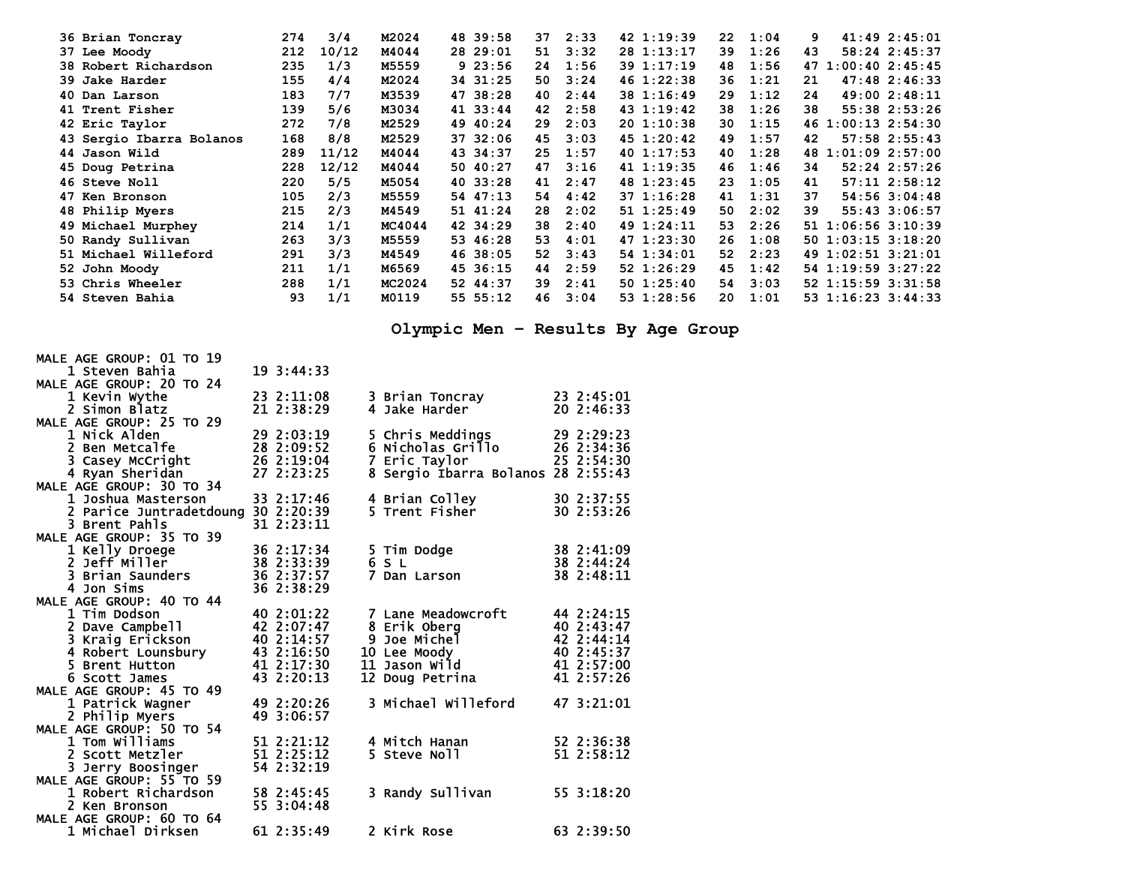| 36 Brian Toncray         | 274 | 3/4   | M2024  | 48 39:58 | 37 | 2:33 | 42 1:19:39      | 22 | 1:04 | 41:492:45:01<br>9       |
|--------------------------|-----|-------|--------|----------|----|------|-----------------|----|------|-------------------------|
| 37 Lee Moody             | 212 | 10/12 | M4044  | 28 29:01 | 51 | 3:32 | 28 1:13:17      | 39 | 1:26 | 58:24 2:45:37<br>43     |
| 38 Robert Richardson     | 235 | 1/3   | M5559  | 923:56   | 24 | 1:56 | 39 1:17:19      | 48 | 1:56 | 47 1:00:40 2:45:45      |
| 39 Jake Harder           | 155 | 4/4   | M2024  | 34 31:25 | 50 | 3:24 | 46 1:22:38      | 36 | 1:21 | $47:48$ $2:46:33$<br>21 |
| 40 Dan Larson            | 183 | 7/7   | M3539  | 47 38:28 | 40 | 2:44 | 38 1:16:49      | 29 | 1:12 | 49:00 2:48:11<br>24     |
| 41 Trent Fisher          | 139 | 5/6   | M3034  | 41 33:44 | 42 | 2:58 | $43 \t1:19:42$  | 38 | 1:26 | 55:38 2:53:26<br>38     |
| 42 Eric Taylor           | 272 | 7/8   | M2529  | 49 40:24 | 29 | 2:03 | 201:10:38       | 30 | 1:15 | 46 1:00:13 2:54:30      |
| 43 Sergio Ibarra Bolanos | 168 | 8/8   | M2529  | 37 32:06 | 45 | 3:03 | $45 \t1:20:42$  | 49 | 1:57 | 57:58 2:55:43<br>42     |
| 44 Jason Wild            | 289 | 11/12 | M4044  | 43 34:37 | 25 | 1:57 | 401:17:53       | 40 | 1:28 | 48 1:01:09 2:57:00      |
| 45 Doug Petrina          | 228 | 12/12 | M4044  | 50 40:27 | 47 | 3:16 | 41 1:19:35      | 46 | 1:46 | $52:24$ $2:57:26$<br>34 |
| 46 Steve Noll            | 220 | 5/5   | M5054  | 40 33:28 | 41 | 2:47 | 48 1:23:45      | 23 | 1:05 | $57:11$ $2:58:12$<br>41 |
| 47 Ken Bronson           | 105 | 2/3   | M5559  | 54 47:13 | 54 | 4:42 | 37 1:16:28      | 41 | 1:31 | 37<br>54:56 3:04:48     |
| 48 Philip Myers          | 215 | 2/3   | M4549  | 51 41:24 | 28 | 2:02 | 51 1:25:49      | 50 | 2:02 | 55:43 3:06:57<br>39     |
| 49 Michael Murphey       | 214 | 1/1   | MC4044 | 42 34:29 | 38 | 2:40 | 49 1:24:11      | 53 | 2:26 | 51 1:06:56 3:10:39      |
| 50 Randy Sullivan        | 263 | 3/3   | M5559  | 53 46:28 | 53 | 4:01 | $47 \; 1:23:30$ | 26 | 1:08 | 50 1:03:15 3:18:20      |
| 51 Michael Willeford     | 291 | 3/3   | M4549  | 46 38:05 | 52 | 3:43 | 54 1:34:01      | 52 | 2:23 | 49 1:02:51 3:21:01      |
| 52 John Moody            | 211 | 1/1   | M6569  | 45 36:15 | 44 | 2:59 | 52 1:26:29      | 45 | 1:42 | 54 1:19:59 3:27:22      |
| 53 Chris Wheeler         | 288 | 1/1   | MC2024 | 52 44:37 | 39 | 2:41 | 50 1:25:40      | 54 | 3:03 | 52 1:15:59 3:31:58      |
| 54 Steven Bahia          | 93  | 1/1   | M0119  | 55 55:12 | 46 | 3:04 | 53 1:28:56      | 20 | 1:01 | 53 1:16:23 3:44:33      |

**Olympic Men – Results By Age Group** 

| MALE AGE GROUP: 01 TO 19 |                          |                                    |                                                                      |
|--------------------------|--------------------------|------------------------------------|----------------------------------------------------------------------|
| 1 Steven Bahia           | 19 3:44:33               |                                    |                                                                      |
| MALE AGE GROUP: 20 TO 24 |                          |                                    |                                                                      |
| 1 Kevin Wythe            | 23 2:11:08               | 3 Brian Toncray                    | 23 2:45:01                                                           |
| 2 Simon Blatz            | 21 2:38:29               | 4 Jake Harder                      | 20 2:46:33                                                           |
| MALE AGE GROUP: 25 TO 29 |                          |                                    |                                                                      |
| 1 Nick Alden             | 29 2:03:19               | 5 Chris Meddings                   | 29 2:29:23                                                           |
| 2 Ben Metcalfe           | 28 2:09:52               | 6 Nicholas Grillo                  | 26 2:34:36                                                           |
| 3 Casey McCright         | 26 2:19:04               | 7 Eric Taylor                      | 25 2:54:30                                                           |
| 4 Ryan Sheridan          | 27 2:23:25               | 8 Sergio Ibarra Bolanos 28 2:55:43 |                                                                      |
| MALE AGE GROUP: 30 TO 34 |                          |                                    |                                                                      |
| 1 Joshua Masterson       | 33 2:17:46               | 4 Brian Colley                     | 30 2:37:55                                                           |
|                          |                          | 5 Trent Fisher                     | 30 2:53:26                                                           |
| 2 Parice Juntradetdoung  | 30 2:20:39<br>31 2:23:11 |                                    |                                                                      |
| 3 Brent Pahls            |                          |                                    |                                                                      |
| MALE AGE GROUP: 35 TO 39 |                          |                                    |                                                                      |
| 1 Kelly Droege           | 36 2:17:34               | 5 Tim Dodge<br>6 S L               |                                                                      |
| 2 Jeff Miller            | 38 2:33:39               |                                    | $\begin{array}{r} 38 \\ 38 \\ 2:44:24 \\ \hline 3:48:11 \end{array}$ |
| 3 Brian Saunders         | 36 2:37:57               | 7 Dan Larson                       |                                                                      |
| 4 Jon Sims               | 36 2:38:29               |                                    |                                                                      |
| MALE AGE GROUP: 40 TO 44 |                          |                                    |                                                                      |
| 1 Tim Dodson             | 40 2:01:22               | 7 Lane Meadowcroft                 | 44 2:24:15                                                           |
| 2 Dave Campbell          | 42 2:07:47               | 8 Erik Obera                       | 40 2:43:47                                                           |
| 3 Kraig Erickson         | 40 2:14:57               | 9 Joe Michel                       | 42 2:44:14                                                           |
| 4 Robert Lounsbury       | 43 2:16:50               | <b>10 Lee Moody</b>                | 40 2:45:37                                                           |
| 5 Brent Hutton           | 41 2:17:30               | 11 Jason Wild                      | 41 2:57:00                                                           |
| 6 Scott James            | 43 2:20:13               | 12 Doug Petrina                    | 41 2:57:26                                                           |
| MALE AGE GROUP: 45 TO 49 |                          |                                    |                                                                      |
| 1 Patrick Wagner         | 49 2:20:26               | 3 Michael Willeford                | 47 3:21:01                                                           |
| 2 Philip Myers           | 49 3:06:57               |                                    |                                                                      |
| MALE AGE GROUP: 50 TO 54 |                          |                                    |                                                                      |
| 1 Tom Williams           | 51 2:21:12               | 4 Mitch Hanan                      | 52 2:36:38                                                           |
| 2 Scott Metzler          | 51 2:25:12               | 5 Steve Noll                       | 51 2:58:12                                                           |
| 3 Jerry Boosinger        | 54 2:32:19               |                                    |                                                                      |
| MALE AGE GROUP: 55 TO 59 |                          |                                    |                                                                      |
| 1 Robert Richardson      | 58 2:45:45               | 3 Randy Sullivan                   | 55 3:18:20                                                           |
| 2 Ken Bronson            | 55 3:04:48               |                                    |                                                                      |
| MALE AGE GROUP: 60 TO 64 |                          |                                    |                                                                      |
| 1 Michael Dirksen        | 61 2:35:49               | 2 Kirk Rose                        | 63 2:39:50                                                           |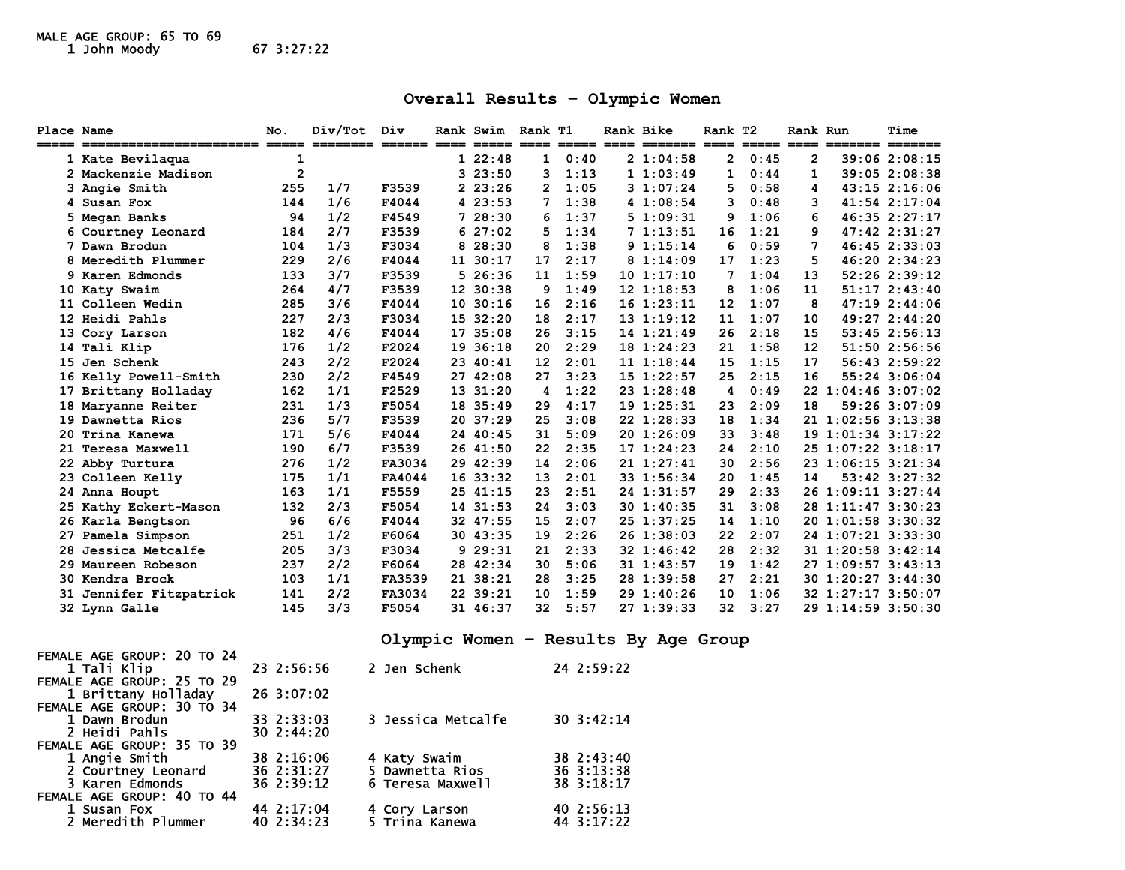# MALE AGE GROUP: 65 TO 69 1 John Moody 67 3:27:22

### **Overall Results – Olympic Women**

| Place Name |                                                                    | No.            | Div/Tot Div |        |  |           | Rank Swim Rank T1 |      | Rank Bike |                 | Rank T2               |      | Rank Run       |                    | Time              |
|------------|--------------------------------------------------------------------|----------------|-------------|--------|--|-----------|-------------------|------|-----------|-----------------|-----------------------|------|----------------|--------------------|-------------------|
|            | 1 Kate Bevilaqua                                                   | 1              |             |        |  | 122:48    | $\mathbf{1}$      | 0:40 |           | 21:04:58        | $\mathbf{2}^{\prime}$ | 0:45 | $\overline{2}$ |                    | 39:062:08:15      |
|            | 2 Mackenzie Madison                                                | $\overline{2}$ |             |        |  | 323:50    | 3                 | 1:13 |           | 11:03:49        | $\mathbf{1}$          | 0:44 | 1              |                    | $39:05$ $2:08:38$ |
|            | 3 Angie Smith                                                      | 255            | 1/7         | F3539  |  | 223:26    | 2                 | 1:05 |           | 31:07:24        | 5                     | 0:58 | 4              |                    | $43:15$ $2:16:06$ |
|            | 4 Susan Fox                                                        | 144            | 1/6         | F4044  |  | 423:53    | 7                 | 1:38 |           | 41:08:54        | 3                     | 0:48 | 3              |                    | 41:54 2:17:04     |
|            | 5 Megan Banks                                                      | 94             | 1/2         | F4549  |  | 728:30    | 6                 | 1:37 |           | 51:09:31        | 9                     | 1:06 | 6              |                    | 46:35 2:27:17     |
|            | 6 Courtney Leonard                                                 | 184            | 2/7         | F3539  |  | 627:02    | 5                 | 1:34 |           | 71:13:51        | 16                    | 1:21 | 9              |                    | 47:42 2:31:27     |
|            | 7 Dawn Brodun                                                      | 104            | 1/3         | F3034  |  | 828:30    | 8                 | 1:38 |           | 91:15:14        | 6                     | 0:59 | 7              |                    | 46:45 2:33:03     |
|            | 8 Meredith Plummer                                                 | 229            | 2/6         | F4044  |  | 11 30:17  | 17                | 2:17 |           | 81:14:09        | 17                    | 1:23 | 5              |                    | 46:20 2:34:23     |
|            | 9 Karen Edmonds                                                    | 133            | 3/7         | F3539  |  | 526:36    | 11                | 1:59 |           | 101:17:10       | 7                     | 1:04 | 13             |                    | $52:26$ $2:39:12$ |
|            | 10 Katy Swaim                                                      | 264            | 4/7         | F3539  |  | 12 30:38  | 9                 | 1:49 |           | $12 \; 1:18:53$ | 8                     | 1:06 | 11             |                    | 51:172:43:40      |
|            | 11 Colleen Wedin                                                   | 285            | 3/6         | F4044  |  | 10, 30:16 | 16                | 2:16 |           | 161:23:11       | 12                    | 1:07 | 8              |                    | 47:192:44:06      |
|            | 12 Heidi Pahls                                                     | 227            | 2/3         | F3034  |  | 15 32:20  | 18                | 2:17 |           | 131:19:12       | 11                    | 1:07 | 10             |                    | 49:27 2:44:20     |
|            | 13 Cory Larson                                                     | 182            | 4/6         | F4044  |  | 17 35:08  | 26                | 3:15 |           | 14 1:21:49      | 26                    | 2:18 | 15             |                    | $53:45$ $2:56:13$ |
|            | 14 Tali Klip                                                       | 176            | 1/2         | F2024  |  | 19 36:18  | 20                | 2:29 |           | 18 1:24:23      | 21                    | 1:58 | 12             |                    | 51:50 2:56:56     |
| 15         | Jen Schenk                                                         | 243            | 2/2         | F2024  |  | 23 40:41  | 12                | 2:01 |           | 111:18:44       | 15                    | 1:15 | 17             |                    | 56:43 2:59:22     |
|            | 16 Kelly Powell-Smith                                              | 230            | 2/2         | F4549  |  | 27 42:08  | 27                | 3:23 |           | $15$ $1:22:57$  | 25                    | 2:15 | 16             |                    | 55:24 3:06:04     |
|            | 17 Brittany Holladay                                               | 162            | 1/1         | F2529  |  | 13 31:20  | 4                 | 1:22 |           | $23 \t1:28:48$  | 4                     | 0:49 |                | 22 1:04:46 3:07:02 |                   |
|            | 18 Maryanne Reiter                                                 | 231            | 1/3         | F5054  |  | 18 35:49  | 29                | 4:17 |           | 191:25:31       | 23                    | 2:09 | 18             |                    | 59:26 3:07:09     |
|            | 19 Dawnetta Rios                                                   | 236            | 5/7         | F3539  |  | 20 37:29  | 25                | 3:08 |           | 22 1:28:33      | 18                    | 1:34 |                | 21 1:02:56 3:13:38 |                   |
| 20         | Trina Kanewa                                                       | 171            | 5/6         | F4044  |  | 24 40:45  | 31                | 5:09 |           | 201:26:09       | 33                    | 3:48 |                | 19 1:01:34 3:17:22 |                   |
|            | 21 Teresa Maxwell                                                  | 190            | 6/7         | F3539  |  | 26 41:50  | 22                | 2:35 |           | 171:24:23       | 24                    | 2:10 |                | 25 1:07:22 3:18:17 |                   |
|            | 22 Abby Turtura                                                    | 276            | 1/2         | FA3034 |  | 29 42:39  | 14                | 2:06 |           | $21 \t1:27:41$  | 30                    | 2:56 |                | 23 1:06:15 3:21:34 |                   |
|            | 23 Colleen Kelly                                                   | 175            | 1/1         | FA4044 |  | 1633:32   | 13                | 2:01 |           | 33 1:56:34      | 20                    | 1:45 | 14             |                    | $53:42$ $3:27:32$ |
|            | 24 Anna Houpt                                                      | 163            | 1/1         | F5559  |  | 25 41:15  | 23                | 2:51 |           | 24 1:31:57      | 29                    | 2:33 |                | 26 1:09:11 3:27:44 |                   |
|            | 25 Kathy Eckert-Mason                                              | 132            | 2/3         | F5054  |  | 14 31:53  | 24                | 3:03 |           | 30 1:40:35      | 31                    | 3:08 |                | 28 1:11:47 3:30:23 |                   |
|            | 26 Karla Bengtson                                                  | 96             | 6/6         | F4044  |  | 32 47:55  | 15                | 2:07 |           | 25 1:37:25      | 14                    | 1:10 |                | 20 1:01:58 3:30:32 |                   |
| 27         | Pamela Simpson                                                     | 251            | 1/2         | F6064  |  | 30 43:35  | 19                | 2:26 |           | 261:38:03       | 22                    | 2:07 |                | 24 1:07:21 3:33:30 |                   |
| 28.        | Jessica Metcalfe                                                   | 205            | 3/3         | F3034  |  | 929:31    | 21                | 2:33 |           | 32 1:46:42      | 28                    | 2:32 |                | 31 1:20:58 3:42:14 |                   |
|            | 29 Maureen Robeson                                                 | 237            | 2/2         | F6064  |  | 28 42:34  | 30                | 5:06 |           | 31 1:43:57      | 19                    | 1:42 |                | 27 1:09:57 3:43:13 |                   |
|            | 30 Kendra Brock                                                    | 103            | 1/1         | FA3539 |  | 21 38:21  | 28                | 3:25 |           | 28 1:39:58      | 27                    | 2:21 |                | 30 1:20:27 3:44:30 |                   |
|            | 31 Jennifer Fitzpatrick                                            | 141            | 2/2         | FA3034 |  | 22 39:21  | 10                | 1:59 |           | 29 1:40:26      | 10                    | 1:06 |                | 32 1:27:17 3:50:07 |                   |
|            | 32 Lynn Galle                                                      | 145            | 3/3         | F5054  |  | 31 46:37  | 32                | 5:57 |           | 27 1:39:33      | 32                    | 3:27 |                | 29 1:14:59 3:50:30 |                   |
|            | Olympic Women - Results By Age Group<br>FEMALE AGE GROUP: 20 TO 24 |                |             |        |  |           |                   |      |           |                 |                       |      |                |                    |                   |

| <b>FEMALE AGE GROUP: ZU TO Z4</b> |                |                    |            |
|-----------------------------------|----------------|--------------------|------------|
| 1 Tali Klip                       | 23 2:56:56     | 2 Jen Schenk       | 24 2:59:22 |
| FEMALE AGE GROUP: 25 TO 29        |                |                    |            |
| 1 Brittany Holladay               | 26 3:07:02     |                    |            |
| FEMALE AGE GROUP: 30 TO 34        |                |                    |            |
| 1 Dawn Brodun                     | 33 2:33:03     | 3 Jessica Metcalfe | 30 3:42:14 |
| 2 Heidi Pahls                     | $30 \t2:44:20$ |                    |            |
| FEMALE AGE GROUP: 35 TO 39        |                |                    |            |
| 1 Angie Smith                     | 38 2:16:06     | 4 Katy Swaim       | 38 2:43:40 |
| 2 Courtney Leonard                | 36 2:31:27     | 5 Dawnetta Rios    | 36 3:13:38 |
| 3 Karen Edmonds                   | 36 2:39:12     | 6 Teresa Maxwell   | 38 3:18:17 |
| FEMALE AGE GROUP: 40 TO 44        |                |                    |            |
| 1 Susan Fox                       | 44 2:17:04     | 4 Cory Larson      | 40 2:56:13 |
| 2 Meredith Plummer                | 40 2:34:23     | 5 Trina Kanewa     | 44 3:17:22 |